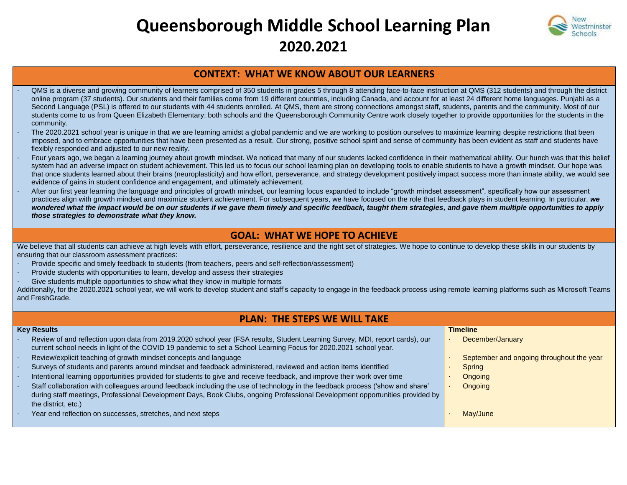# **Queensborough Middle School Learning Plan 2020.2021**



## **CONTEXT: WHAT WE KNOW ABOUT OUR LEARNERS**

- · QMS is a diverse and growing community of learners comprised of 350 students in grades 5 through 8 attending face-to-face instruction at QMS (312 students) and through the district online program (37 students). Our students and their families come from 19 different countries, including Canada, and account for at least 24 different home languages. Punjabi as a Second Language (PSL) is offered to our students with 44 students enrolled. At QMS, there are strong connections amongst staff, students, parents and the community. Most of our students come to us from Queen Elizabeth Elementary; both schools and the Queensborough Community Centre work closely together to provide opportunities for the students in the community.
- The 2020.2021 school year is unique in that we are learning amidst a global pandemic and we are working to position ourselves to maximize learning despite restrictions that been imposed, and to embrace opportunities that have been presented as a result. Our strong, positive school spirit and sense of community has been evident as staff and students have flexibly responded and adjusted to our new reality.
- Four years ago, we began a learning journey about growth mindset. We noticed that many of our students lacked confidence in their mathematical ability. Our hunch was that this belief system had an adverse impact on student achievement. This led us to focus our school learning plan on developing tools to enable students to have a growth mindset. Our hope was that once students learned about their brains (neuroplasticity) and how effort, perseverance, and strategy development positively impact success more than innate ability, we would see evidence of gains in student confidence and engagement, and ultimately achievement.
- After our first year learning the language and principles of growth mindset, our learning focus expanded to include "growth mindset assessment", specifically how our assessment practices align with growth mindset and maximize student achievement. For subsequent years, we have focused on the role that feedback plays in student learning. In particular, *we wondered what the impact would be on our students if we gave them timely and specific feedback, taught them strategies, and gave them multiple opportunities to apply those strategies to demonstrate what they know.*

## **GOAL: WHAT WE HOPE TO ACHIEVE**

We believe that all students can achieve at high levels with effort, perseverance, resilience and the right set of strategies. We hope to continue to develop these skills in our students by ensuring that our classroom assessment practices:

- Provide specific and timely feedback to students (from teachers, peers and self-reflection/assessment)
- Provide students with opportunities to learn, develop and assess their strategies
- Give students multiple opportunities to show what they know in multiple formats

Additionally, for the 2020.2021 school year, we will work to develop student and staff's capacity to engage in the feedback process using remote learning platforms such as Microsoft Teams and FreshGrade.

#### **PLAN: THE STEPS WE WILL TAKE Key Results** Review of and reflection upon data from 2019.2020 school year (FSA results, Student Learning Survey, MDI, report cards), our current school needs in light of the COVID 19 pandemic to set a School Learning Focus for 2020.2021 school year. Review/explicit teaching of growth mindset concepts and language Surveys of students and parents around mindset and feedback administered, reviewed and action items identified Intentional learning opportunities provided for students to give and receive feedback, and improve their work over time · Staff collaboration with colleagues around feedback including the use of technology in the feedback process ('show and share' during staff meetings, Professional Development Days, Book Clubs, ongoing Professional Development opportunities provided by the district, etc.) Year end reflection on successes, stretches, and next steps **Timeline** · December/January September and ongoing throughout the year **Spring** · Ongoing · Ongoing May/June